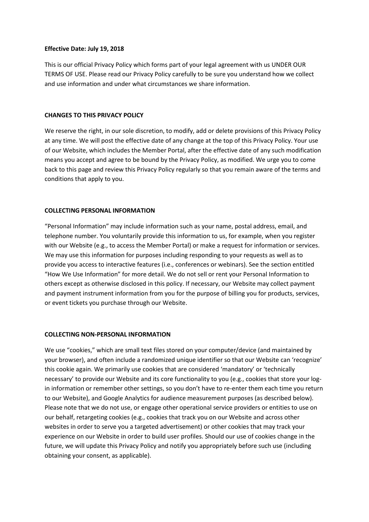## **Effective Date: July 19, 2018**

This is our official Privacy Policy which forms part of your legal agreement with us UNDER OUR TERMS OF USE. Please read our Privacy Policy carefully to be sure you understand how we collect and use information and under what circumstances we share information.

## **CHANGES TO THIS PRIVACY POLICY**

We reserve the right, in our sole discretion, to modify, add or delete provisions of this Privacy Policy at any time. We will post the effective date of any change at the top of this Privacy Policy. Your use of our Website, which includes the Member Portal, after the effective date of any such modification means you accept and agree to be bound by the Privacy Policy, as modified. We urge you to come back to this page and review this Privacy Policy regularly so that you remain aware of the terms and conditions that apply to you.

## **COLLECTING PERSONAL INFORMATION**

"Personal Information" may include information such as your name, postal address, email, and telephone number. You voluntarily provide this information to us, for example, when you register with our Website (e.g., to access the Member Portal) or make a request for information or services. We may use this information for purposes including responding to your requests as well as to provide you access to interactive features (i.e., conferences or webinars). See the section entitled "How We Use Information" for more detail. We do not sell or rent your Personal Information to others except as otherwise disclosed in this policy. If necessary, our Website may collect payment and payment instrument information from you for the purpose of billing you for products, services, or event tickets you purchase through our Website.

## **COLLECTING NON-PERSONAL INFORMATION**

We use "cookies," which are small text files stored on your computer/device (and maintained by your browser), and often include a randomized unique identifier so that our Website can 'recognize' this cookie again. We primarily use cookies that are considered 'mandatory' or 'technically necessary' to provide our Website and its core functionality to you (e.g., cookies that store your login information or remember other settings, so you don't have to re-enter them each time you return to our Website), and Google Analytics for audience measurement purposes (as described below). Please note that we do not use, or engage other operational service providers or entities to use on our behalf, retargeting cookies (e.g., cookies that track you on our Website and across other websites in order to serve you a targeted advertisement) or other cookies that may track your experience on our Website in order to build user profiles. Should our use of cookies change in the future, we will update this Privacy Policy and notify you appropriately before such use (including obtaining your consent, as applicable).